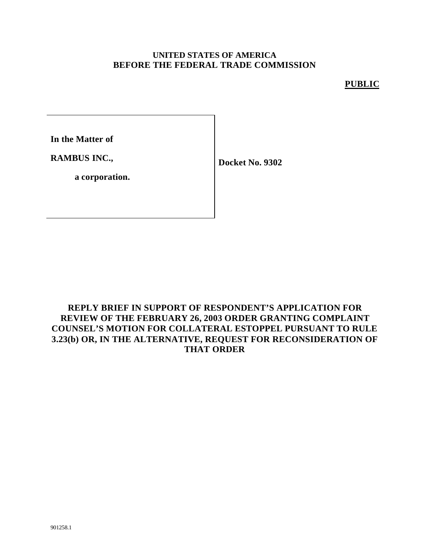#### **UNITED STATES OF AMERICA BEFORE THE FEDERAL TRADE COMMISSION**

### **PUBLIC**

**In the Matter of**

**RAMBUS INC.,**

**Docket No. 9302**

**a corporation.**

## **REPLY BRIEF IN SUPPORT OF RESPONDENT'S APPLICATION FOR REVIEW OF THE FEBRUARY 26, 2003 ORDER GRANTING COMPLAINT COUNSEL'S MOTION FOR COLLATERAL ESTOPPEL PURSUANT TO RULE 3.23(b) OR, IN THE ALTERNATIVE, REQUEST FOR RECONSIDERATION OF THAT ORDER**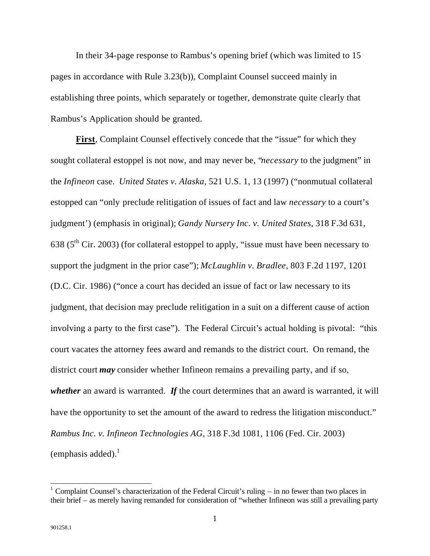In their 34-page response to Rambus's opening brief (which was limited to 15 pages in accordance with Rule 3.23(b)), Complaint Counsel succeed mainly in establishing three points, which separately or together, demonstrate quite clearly that Rambus's Application should be granted.

**First**, Complaint Counsel effectively concede that the "issue" for which they sought collateral estoppel is not now, and may never be, "*necessary* to the judgment" in the *Infineon* case. *United States v. Alaska*, 521 U.S. 1, 13 (1997) ("nonmutual collateral estopped can "only preclude relitigation of issues of fact and law *necessary* to a court's judgment') (emphasis in original); *Gandy Nursery Inc. v. United States*, 318 F.3d 631, 638 ( $5<sup>th</sup>$  Cir. 2003) (for collateral estoppel to apply, "issue must have been necessary to support the judgment in the prior case"); *McLaughlin v. Bradlee*, 803 F.2d 1197, 1201 (D.C. Cir. 1986) ("once a court has decided an issue of fact or law necessary to its judgment, that decision may preclude relitigation in a suit on a different cause of action involving a party to the first case"). The Federal Circuit's actual holding is pivotal: "this court vacates the attorney fees award and remands to the district court. On remand, the district court *may* consider whether Infineon remains a prevailing party, and if so, *whether* an award is warranted. *If* the court determines that an award is warranted, it will have the opportunity to set the amount of the award to redress the litigation misconduct." *Rambus Inc. v. Infineon Technologies AG*, 318 F.3d 1081, 1106 (Fed. Cir. 2003) (emphasis added). $<sup>1</sup>$ </sup>

<sup>&</sup>lt;sup>1</sup> Complaint Counsel's characterization of the Federal Circuit's ruling – in no fewer than two places in their brief – as merely having remanded for consideration of "whether Infineon was still a prevailing party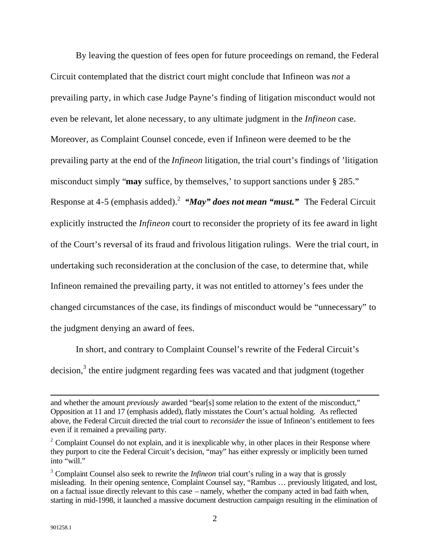By leaving the question of fees open for future proceedings on remand, the Federal Circuit contemplated that the district court might conclude that Infineon was *not* a prevailing party, in which case Judge Payne's finding of litigation misconduct would not even be relevant, let alone necessary, to any ultimate judgment in the *Infineon* case. Moreover, as Complaint Counsel concede, even if Infineon were deemed to be the prevailing party at the end of the *Infineon* litigation, the trial court's findings of 'litigation misconduct simply "**may** suffice, by themselves,' to support sanctions under § 285." Response at 4-5 (emphasis added).<sup>2</sup> "May" does not mean "must." The Federal Circuit explicitly instructed the *Infineon* court to reconsider the propriety of its fee award in light of the Court's reversal of its fraud and frivolous litigation rulings. Were the trial court, in undertaking such reconsideration at the conclusion of the case, to determine that, while Infineon remained the prevailing party, it was not entitled to attorney's fees under the changed circumstances of the case, its findings of misconduct would be "unnecessary" to the judgment denying an award of fees.

In short, and contrary to Complaint Counsel's rewrite of the Federal Circuit's decision, $3$  the entire judgment regarding fees was vacated and that judgment (together

 $\overline{a}$ 

and whether the amount *previously* awarded "bear[s] some relation to the extent of the misconduct," Opposition at 11 and 17 (emphasis added), flatly misstates the Court's actual holding. As reflected above, the Federal Circuit directed the trial court to *reconsider* the issue of Infineon's entitlement to fees even if it remained a prevailing party.

 $2^2$  Complaint Counsel do not explain, and it is inexplicable why, in other places in their Response where they purport to cite the Federal Circuit's decision, "may" has either expressly or implicitly been turned into "will."

<sup>&</sup>lt;sup>3</sup> Complaint Counsel also seek to rewrite the *Infineon* trial court's ruling in a way that is grossly misleading. In their opening sentence, Complaint Counsel say, "Rambus … previously litigated, and lost, on a factual issue directly relevant to this case – namely, whether the company acted in bad faith when, starting in mid-1998, it launched a massive document destruction campaign resulting in the elimination of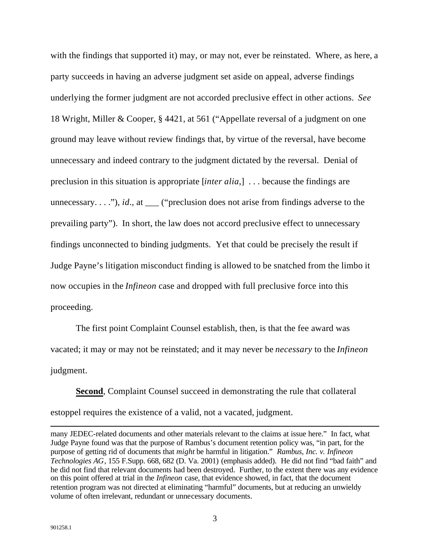with the findings that supported it) may, or may not, ever be reinstated. Where, as here, a party succeeds in having an adverse judgment set aside on appeal, adverse findings underlying the former judgment are not accorded preclusive effect in other actions. *See*  18 Wright, Miller & Cooper, § 4421, at 561 ("Appellate reversal of a judgment on one ground may leave without review findings that, by virtue of the reversal, have become unnecessary and indeed contrary to the judgment dictated by the reversal. Denial of preclusion in this situation is appropriate [*inter alia*,] . . . because the findings are unnecessary. . . ."), *id*., at \_\_\_ ("preclusion does not arise from findings adverse to the prevailing party"). In short, the law does not accord preclusive effect to unnecessary findings unconnected to binding judgments. Yet that could be precisely the result if Judge Payne's litigation misconduct finding is allowed to be snatched from the limbo it now occupies in the *Infineon* case and dropped with full preclusive force into this proceeding.

The first point Complaint Counsel establish, then, is that the fee award was vacated; it may or may not be reinstated; and it may never be *necessary* to the *Infineon* judgment.

**Second**, Complaint Counsel succeed in demonstrating the rule that collateral estoppel requires the existence of a valid, not a vacated, judgment.

 $\overline{a}$ 

many JEDEC-related documents and other materials relevant to the claims at issue here." In fact, what Judge Payne found was that the purpose of Rambus's document retention policy was, "in part, for the purpose of getting rid of documents that *might* be harmful in litigation." *Rambus, Inc. v. Infineon Technologies AG*, 155 F.Supp. 668, 682 (D. Va. 2001) (emphasis added). He did not find "bad faith" and he did not find that relevant documents had been destroyed. Further, to the extent there was any evidence on this point offered at trial in the *Infineon* case, that evidence showed, in fact, that the document retention program was not directed at eliminating "harmful" documents, but at reducing an unwieldy volume of often irrelevant, redundant or unnecessary documents.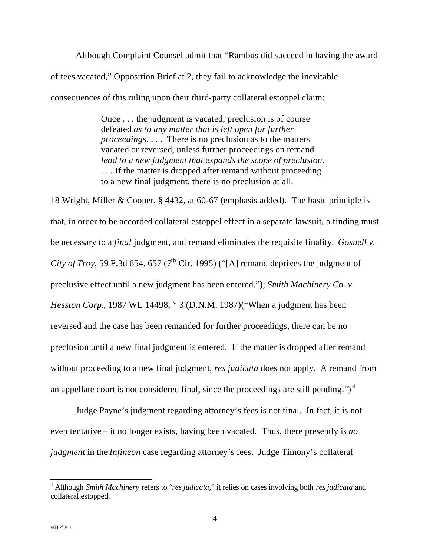Although Complaint Counsel admit that "Rambus did succeed in having the award of fees vacated," Opposition Brief at 2, they fail to acknowledge the inevitable consequences of this ruling upon their third-party collateral estoppel claim:

> Once . . . the judgment is vacated, preclusion is of course defeated *as to any matter that is left open for further proceedings*. . . . There is no preclusion as to the matters vacated or reversed, unless further proceedings on remand *lead to a new judgment that expands the scope of preclusion*. ... If the matter is dropped after remand without proceeding to a new final judgment, there is no preclusion at all.

18 Wright, Miller & Cooper, § 4432, at 60-67 (emphasis added). The basic principle is that, in order to be accorded collateral estoppel effect in a separate lawsuit, a finding must be necessary to a *final* judgment, and remand eliminates the requisite finality. *Gosnell v. City of Troy*, 59 F.3d 654, 657 ( $7^{\text{th}}$  Cir. 1995) ("[A] remand deprives the judgment of preclusive effect until a new judgment has been entered."); *Smith Machinery Co. v. Hesston Corp.*, 1987 WL 14498, \* 3 (D.N.M. 1987)("When a judgment has been reversed and the case has been remanded for further proceedings, there can be no preclusion until a new final judgment is entered. If the matter is dropped after remand without proceeding to a new final judgment, *res judicata* does not apply. A remand from an appellate court is not considered final, since the proceedings are still pending." $)^4$ 

Judge Payne's judgment regarding attorney's fees is not final. In fact, it is not even tentative – it no longer exists, having been vacated. Thus, there presently is *no judgment* in the *Infineon* case regarding attorney's fees. Judge Timony's collateral

 $\overline{a}$ 4 Although *Smith Machinery* refers to "*res judicata,*" it relies on cases involving both *res judicata* and collateral estopped.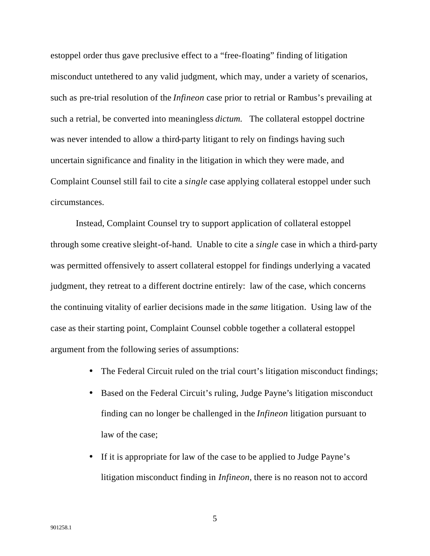estoppel order thus gave preclusive effect to a "free-floating" finding of litigation misconduct untethered to any valid judgment, which may, under a variety of scenarios, such as pre-trial resolution of the *Infineon* case prior to retrial or Rambus's prevailing at such a retrial, be converted into meaningless *dictum*. The collateral estoppel doctrine was never intended to allow a third-party litigant to rely on findings having such uncertain significance and finality in the litigation in which they were made, and Complaint Counsel still fail to cite a *single* case applying collateral estoppel under such circumstances.

Instead, Complaint Counsel try to support application of collateral estoppel through some creative sleight-of-hand. Unable to cite a *single* case in which a third-party was permitted offensively to assert collateral estoppel for findings underlying a vacated judgment, they retreat to a different doctrine entirely: law of the case, which concerns the continuing vitality of earlier decisions made in the *same* litigation. Using law of the case as their starting point, Complaint Counsel cobble together a collateral estoppel argument from the following series of assumptions:

- The Federal Circuit ruled on the trial court's litigation misconduct findings;
- Based on the Federal Circuit's ruling, Judge Payne's litigation misconduct finding can no longer be challenged in the *Infineon* litigation pursuant to law of the case;
- If it is appropriate for law of the case to be applied to Judge Payne's litigation misconduct finding in *Infineon*, there is no reason not to accord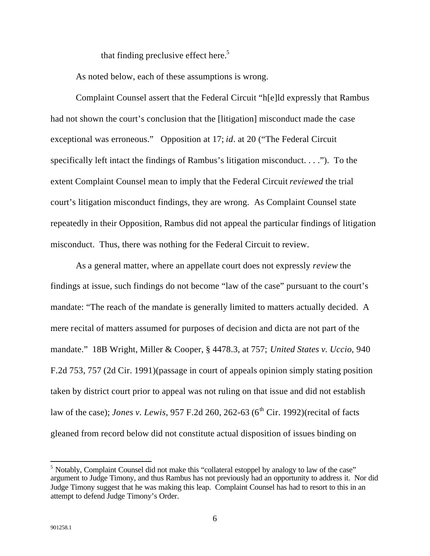that finding preclusive effect here.<sup>5</sup>

As noted below, each of these assumptions is wrong.

Complaint Counsel assert that the Federal Circuit "h[e]ld expressly that Rambus had not shown the court's conclusion that the [litigation] misconduct made the case exceptional was erroneous." Opposition at 17; *id*. at 20 ("The Federal Circuit specifically left intact the findings of Rambus's litigation misconduct. . . ."). To the extent Complaint Counsel mean to imply that the Federal Circuit *reviewed* the trial court's litigation misconduct findings, they are wrong. As Complaint Counsel state repeatedly in their Opposition, Rambus did not appeal the particular findings of litigation misconduct. Thus, there was nothing for the Federal Circuit to review.

As a general matter, where an appellate court does not expressly *review* the findings at issue, such findings do not become "law of the case" pursuant to the court's mandate: "The reach of the mandate is generally limited to matters actually decided. A mere recital of matters assumed for purposes of decision and dicta are not part of the mandate." 18B Wright, Miller & Cooper, § 4478.3, at 757; *United States v. Uccio*, 940 F.2d 753, 757 (2d Cir. 1991)(passage in court of appeals opinion simply stating position taken by district court prior to appeal was not ruling on that issue and did not establish law of the case); *Jones v. Lewis*, 957 F.2d 260, 262-63 (6<sup>th</sup> Cir. 1992)(recital of facts gleaned from record below did not constitute actual disposition of issues binding on

 $\overline{a}$ 

<sup>&</sup>lt;sup>5</sup> Notably, Complaint Counsel did not make this "collateral estoppel by analogy to law of the case" argument to Judge Timony, and thus Rambus has not previously had an opportunity to address it. Nor did Judge Timony suggest that he was making this leap. Complaint Counsel has had to resort to this in an attempt to defend Judge Timony's Order.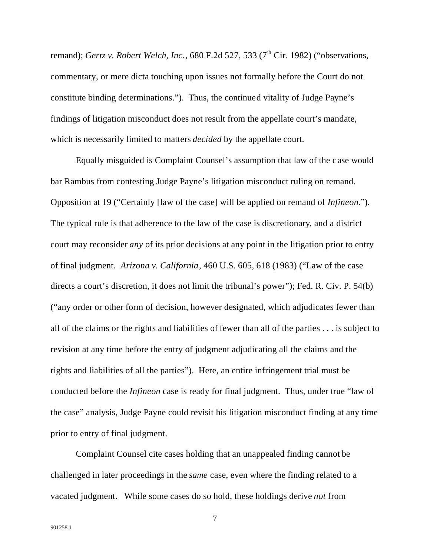remand); *Gertz v. Robert Welch, Inc.*, 680 F.2d 527, 533 (7<sup>th</sup> Cir. 1982) ("observations, commentary, or mere dicta touching upon issues not formally before the Court do not constitute binding determinations."). Thus, the continued vitality of Judge Payne's findings of litigation misconduct does not result from the appellate court's mandate, which is necessarily limited to matters *decided* by the appellate court.

Equally misguided is Complaint Counsel's assumption that law of the c ase would bar Rambus from contesting Judge Payne's litigation misconduct ruling on remand. Opposition at 19 ("Certainly [law of the case] will be applied on remand of *Infineon*."). The typical rule is that adherence to the law of the case is discretionary, and a district court may reconsider *any* of its prior decisions at any point in the litigation prior to entry of final judgment. *Arizona v. California*, 460 U.S. 605, 618 (1983) ("Law of the case directs a court's discretion, it does not limit the tribunal's power"); Fed. R. Civ. P. 54(b) ("any order or other form of decision, however designated, which adjudicates fewer than all of the claims or the rights and liabilities of fewer than all of the parties . . . is subject to revision at any time before the entry of judgment adjudicating all the claims and the rights and liabilities of all the parties"). Here, an entire infringement trial must be conducted before the *Infineon* case is ready for final judgment. Thus, under true "law of the case" analysis, Judge Payne could revisit his litigation misconduct finding at any time prior to entry of final judgment.

Complaint Counsel cite cases holding that an unappealed finding cannot be challenged in later proceedings in the *same* case, even where the finding related to a vacated judgment. While some cases do so hold, these holdings derive *not* from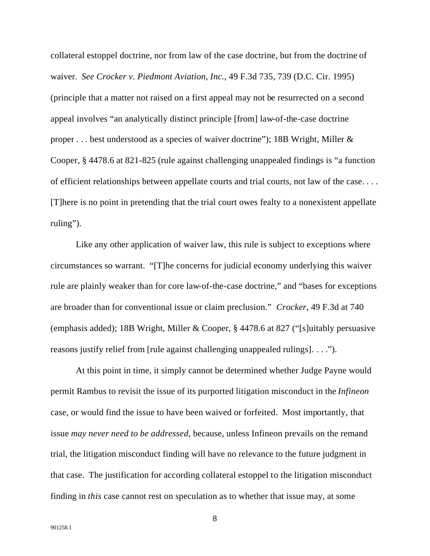collateral estoppel doctrine, nor from law of the case doctrine, but from the doctrine of waiver. *See Crocker v. Piedmont Aviation, Inc.*, 49 F.3d 735, 739 (D.C. Cir. 1995) (principle that a matter not raised on a first appeal may not be resurrected on a second appeal involves "an analytically distinct principle [from] law-of-the-case doctrine proper . . . best understood as a species of waiver doctrine"); 18B Wright, Miller & Cooper, § 4478.6 at 821-825 (rule against challenging unappealed findings is "a function of efficient relationships between appellate courts and trial courts, not law of the case. . . . [T]here is no point in pretending that the trial court owes fealty to a nonexistent appellate ruling").

Like any other application of waiver law, this rule is subject to exceptions where circumstances so warrant. "[T]he concerns for judicial economy underlying this waiver rule are plainly weaker than for core law-of-the-case doctrine," and "bases for exceptions are broader than for conventional issue or claim preclusion." *Crocker*, 49 F.3d at 740 (emphasis added); 18B Wright, Miller & Cooper, § 4478.6 at 827 ("[s]uitably persuasive reasons justify relief from [rule against challenging unappealed rulings]. . . .").

At this point in time, it simply cannot be determined whether Judge Payne would permit Rambus to revisit the issue of its purported litigation misconduct in the *Infineon* case, or would find the issue to have been waived or forfeited. Most importantly, that issue *may never need to be addressed*, because, unless Infineon prevails on the remand trial, the litigation misconduct finding will have no relevance to the future judgment in that case. The justification for according collateral estoppel to the litigation misconduct finding in *this* case cannot rest on speculation as to whether that issue may, at some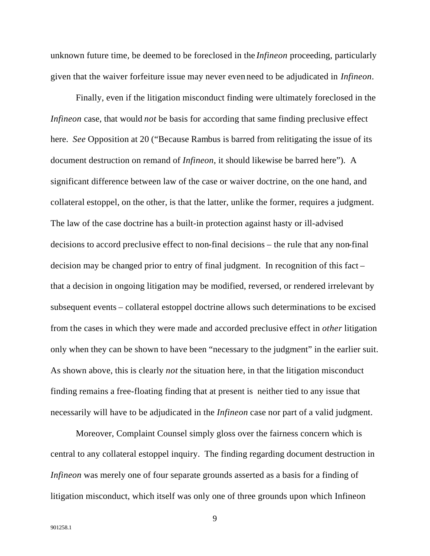unknown future time, be deemed to be foreclosed in the *Infineon* proceeding, particularly given that the waiver forfeiture issue may never even need to be adjudicated in *Infineon*.

Finally, even if the litigation misconduct finding were ultimately foreclosed in the *Infineon* case, that would *not* be basis for according that same finding preclusive effect here. *See* Opposition at 20 ("Because Rambus is barred from relitigating the issue of its document destruction on remand of *Infineon*, it should likewise be barred here"). A significant difference between law of the case or waiver doctrine, on the one hand, and collateral estoppel, on the other, is that the latter, unlike the former, requires a judgment. The law of the case doctrine has a built-in protection against hasty or ill-advised decisions to accord preclusive effect to non-final decisions – the rule that any non-final decision may be changed prior to entry of final judgment. In recognition of this fact – that a decision in ongoing litigation may be modified, reversed, or rendered irrelevant by subsequent events – collateral estoppel doctrine allows such determinations to be excised from the cases in which they were made and accorded preclusive effect in *other* litigation only when they can be shown to have been "necessary to the judgment" in the earlier suit. As shown above, this is clearly *not* the situation here, in that the litigation misconduct finding remains a free-floating finding that at present is neither tied to any issue that necessarily will have to be adjudicated in the *Infineon* case nor part of a valid judgment.

Moreover, Complaint Counsel simply gloss over the fairness concern which is central to any collateral estoppel inquiry. The finding regarding document destruction in *Infineon* was merely one of four separate grounds asserted as a basis for a finding of litigation misconduct, which itself was only one of three grounds upon which Infineon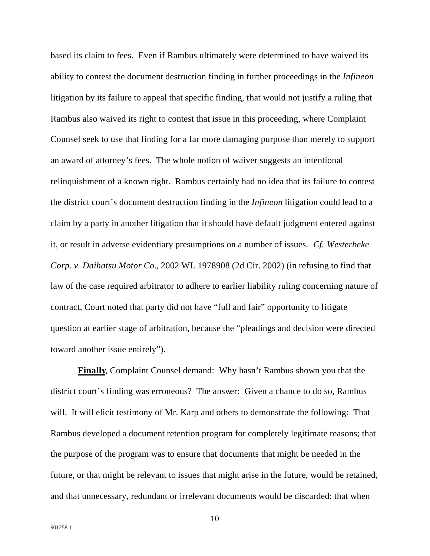based its claim to fees. Even if Rambus ultimately were determined to have waived its ability to contest the document destruction finding in further proceedings in the *Infineon* litigation by its failure to appeal that specific finding, that would not justify a ruling that Rambus also waived its right to contest that issue in this proceeding, where Complaint Counsel seek to use that finding for a far more damaging purpose than merely to support an award of attorney's fees. The whole notion of waiver suggests an intentional relinquishment of a known right. Rambus certainly had no idea that its failure to contest the district court's document destruction finding in the *Infineon* litigation could lead to a claim by a party in another litigation that it should have default judgment entered against it, or result in adverse evidentiary presumptions on a number of issues. *Cf. Westerbeke Corp. v. Daihatsu Motor Co.*, 2002 WL 1978908 (2d Cir. 2002) (in refusing to find that law of the case required arbitrator to adhere to earlier liability ruling concerning nature of contract, Court noted that party did not have "full and fair" opportunity to litigate question at earlier stage of arbitration, because the "pleadings and decision were directed toward another issue entirely").

**Finally**, Complaint Counsel demand: Why hasn't Rambus shown you that the district court's finding was erroneous? The answer: Given a chance to do so, Rambus will. It will elicit testimony of Mr. Karp and others to demonstrate the following: That Rambus developed a document retention program for completely legitimate reasons; that the purpose of the program was to ensure that documents that might be needed in the future, or that might be relevant to issues that might arise in the future, would be retained, and that unnecessary, redundant or irrelevant documents would be discarded; that when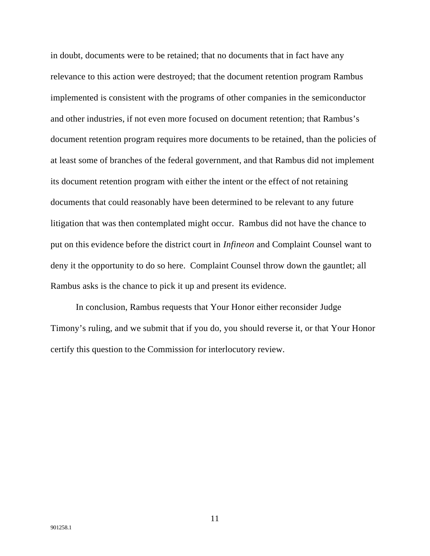in doubt, documents were to be retained; that no documents that in fact have any relevance to this action were destroyed; that the document retention program Rambus implemented is consistent with the programs of other companies in the semiconductor and other industries, if not even more focused on document retention; that Rambus's document retention program requires more documents to be retained, than the policies of at least some of branches of the federal government, and that Rambus did not implement its document retention program with either the intent or the effect of not retaining documents that could reasonably have been determined to be relevant to any future litigation that was then contemplated might occur. Rambus did not have the chance to put on this evidence before the district court in *Infineon* and Complaint Counsel want to deny it the opportunity to do so here. Complaint Counsel throw down the gauntlet; all Rambus asks is the chance to pick it up and present its evidence.

In conclusion, Rambus requests that Your Honor either reconsider Judge Timony's ruling, and we submit that if you do, you should reverse it, or that Your Honor certify this question to the Commission for interlocutory review.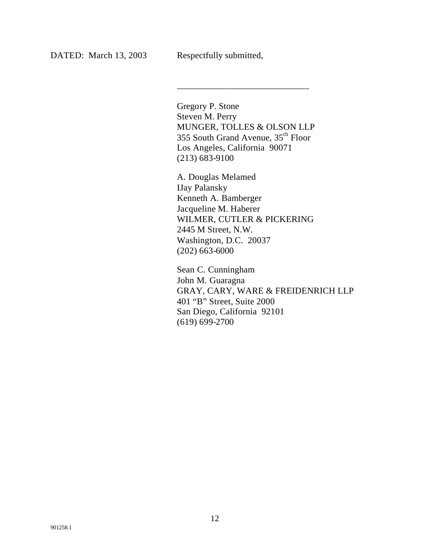Gregory P. Stone Steven M. Perry MUNGER, TOLLES & OLSON LLP 355 South Grand Avenue, 35th Floor Los Angeles, California 90071 (213) 683-9100

\_\_\_\_\_\_\_\_\_\_\_\_\_\_\_\_\_\_\_\_\_\_\_\_\_\_\_\_\_

A. Douglas Melamed IJay Palansky Kenneth A. Bamberger Jacqueline M. Haberer WILMER, CUTLER & PICKERING 2445 M Street, N.W. Washington, D.C. 20037 (202) 663-6000

Sean C. Cunningham John M. Guaragna GRAY, CARY, WARE & FREIDENRICH LLP 401 "B" Street, Suite 2000 San Diego, California 92101 (619) 699-2700